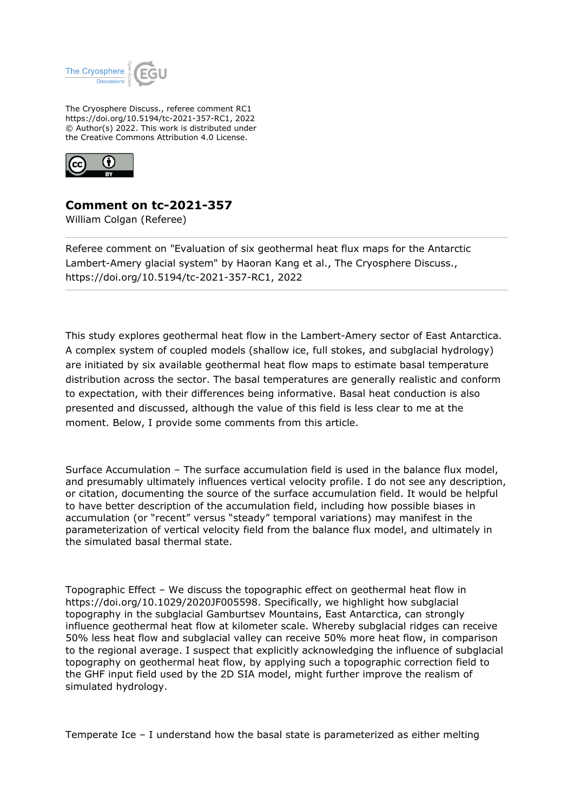

The Cryosphere Discuss., referee comment RC1 https://doi.org/10.5194/tc-2021-357-RC1, 2022 © Author(s) 2022. This work is distributed under the Creative Commons Attribution 4.0 License.



## **Comment on tc-2021-357**

William Colgan (Referee)

Referee comment on "Evaluation of six geothermal heat flux maps for the Antarctic Lambert-Amery glacial system" by Haoran Kang et al., The Cryosphere Discuss., https://doi.org/10.5194/tc-2021-357-RC1, 2022

This study explores geothermal heat flow in the Lambert-Amery sector of East Antarctica. A complex system of coupled models (shallow ice, full stokes, and subglacial hydrology) are initiated by six available geothermal heat flow maps to estimate basal temperature distribution across the sector. The basal temperatures are generally realistic and conform to expectation, with their differences being informative. Basal heat conduction is also presented and discussed, although the value of this field is less clear to me at the moment. Below, I provide some comments from this article.

Surface Accumulation – The surface accumulation field is used in the balance flux model, and presumably ultimately influences vertical velocity profile. I do not see any description, or citation, documenting the source of the surface accumulation field. It would be helpful to have better description of the accumulation field, including how possible biases in accumulation (or "recent" versus "steady" temporal variations) may manifest in the parameterization of vertical velocity field from the balance flux model, and ultimately in the simulated basal thermal state.

Topographic Effect – We discuss the topographic effect on geothermal heat flow in https://doi.org/10.1029/2020JF005598. Specifically, we highlight how subglacial topography in the subglacial Gamburtsev Mountains, East Antarctica, can strongly influence geothermal heat flow at kilometer scale. Whereby subglacial ridges can receive 50% less heat flow and subglacial valley can receive 50% more heat flow, in comparison to the regional average. I suspect that explicitly acknowledging the influence of subglacial topography on geothermal heat flow, by applying such a topographic correction field to the GHF input field used by the 2D SIA model, might further improve the realism of simulated hydrology.

Temperate Ice – I understand how the basal state is parameterized as either melting